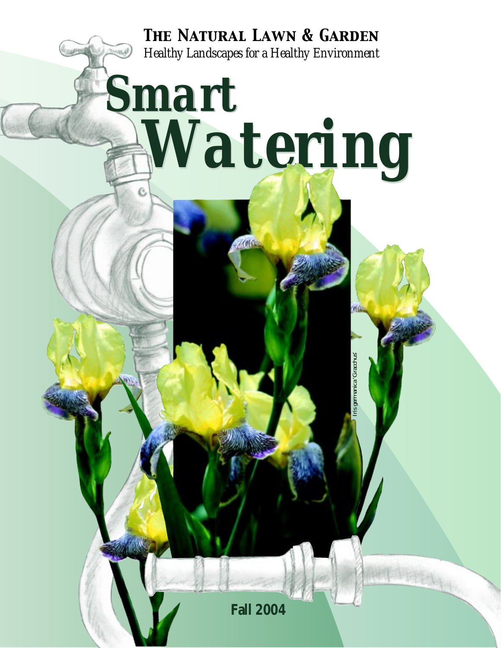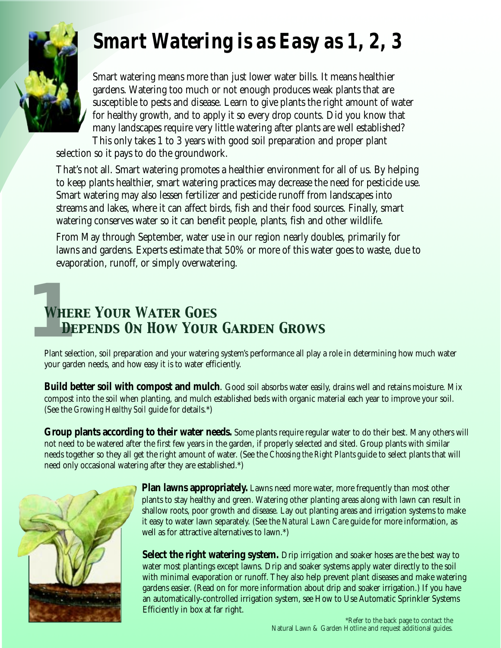# *Smart Watering is as Easy as 1, 2, 3*



Smart watering means more than just lower water bills. It means healthier gardens. Watering too much or not enough produces weak plants that are susceptible to pests and disease. Learn to give plants the right amount of water for healthy growth, and to apply it so every drop counts. Did you know that many landscapes require very little watering after plants are well established? This only takes 1 to 3 years with good soil preparation and proper plant

selection so it pays to do the groundwork.

That's not all. Smart watering promotes a healthier environment for all of us. By helping to keep plants healthier, smart watering practices may decrease the need for pesticide use. Smart watering may also lessen fertilizer and pesticide runoff from landscapes into streams and lakes, where it can affect birds, fish and their food sources. Finally, smart watering conserves water so it can benefit people, plants, fish and other wildlife.

From May through September, water use in our region nearly doubles, primarily for lawns and gardens. Experts estimate that 50% or more of this water goes to waste, due to evaporation, runoff, or simply overwatering.

# **1**<br>Plant *Where Your Water Goes Depends On How Your Garden Grows*

Plant selection, soil preparation and your watering system's performance all play a role in determining how much water your garden needs, and how easy it is to water efficiently.

**Build better soil with compost and mulch**. Good soil absorbs water easily, drains well and retains moisture. Mix compost into the soil when planting, and mulch established beds with organic material each year to improve your soil. (See the *Growing Healthy Soil* guide for details.\*)

**Group plants according to their water needs.** Some plants require regular water to do their best. Many others will not need to be watered after the first few years in the garden, if properly selected and sited. Group plants with similar needs together so they all get the right amount of water. (See the *Choosing the Right Plants* guide to select plants that will need only occasional watering after they are established.\*)



**Plan lawns appropriately.** Lawns need more water, more frequently than most other plants to stay healthy and green. Watering other planting areas along with lawn can result in shallow roots, poor growth and disease. Lay out planting areas and irrigation systems to make it easy to water lawn separately. (See the *Natural Lawn Care* guide for more information, as well as for attractive alternatives to lawn.\*)

**Select the right watering system.** Drip irrigation and soaker hoses are the best way to water most plantings except lawns. Drip and soaker systems apply water directly to the soil with minimal evaporation or runoff. They also help prevent plant diseases and make watering gardens easier. (Read on for more information about drip and soaker irrigation.) If you have an automatically-controlled irrigation system, see How to Use Automatic Sprinkler Systems Efficiently in box at far right.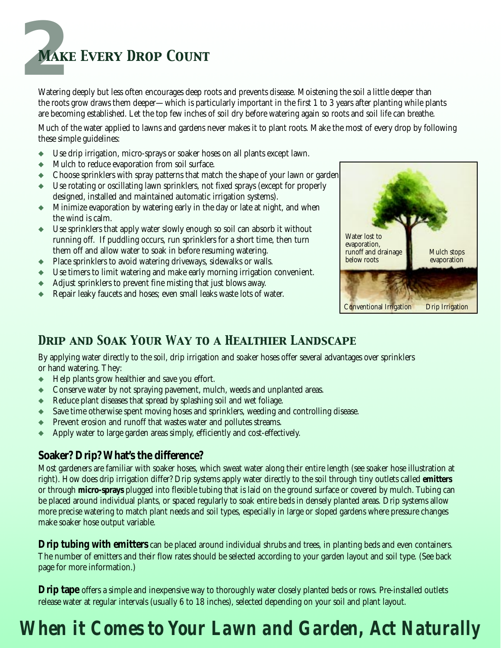

Watering deeply but less often encourages deep roots and prevents disease. Moistening the soil a little deeper than the roots grow draws them deeper—which is particularly important in the first 1 to 3 years after planting while plants are becoming established. Let the top few inches of soil dry before watering again so roots and soil life can breathe.

Much of the water applied to lawns and gardens never makes it to plant roots. Make the most of every drop by following these simple guidelines:

- ◆ Use drip irrigation, micro-sprays or soaker hoses on all plants except lawn.
- ◆ Mulch to reduce evaporation from soil surface.
- ◆ Choose sprinklers with spray patterns that match the shape of your lawn or garden
- ◆ Use rotating or oscillating lawn sprinklers, not fixed sprays (except for properly designed, installed and maintained automatic irrigation systems).
- ◆ Minimize evaporation by watering early in the day or late at night, and when the wind is calm.
- ◆ Use sprinklers that apply water slowly enough so soil can absorb it without running off. If puddling occurs, run sprinklers for a short time, then turn them off and allow water to soak in before resuming watering.
- ◆ Place sprinklers to avoid watering driveways, sidewalks or walls.
- ◆ Use timers to limit watering and make early morning irrigation convenient.
- ◆ Adjust sprinklers to prevent fine misting that just blows away.
- ◆ Repair leaky faucets and hoses; even small leaks waste lots of water.



## *Drip and Soak Your Way to a Healthier Landscape*

By applying water directly to the soil, drip irrigation and soaker hoses offer several advantages over sprinklers or hand watering. They:

- ◆ Help plants grow healthier and save you effort.
- ◆ Conserve water by not spraying pavement, mulch, weeds and unplanted areas.
- ◆ Reduce plant diseases that spread by splashing soil and wet foliage.
- ◆ Save time otherwise spent moving hoses and sprinklers, weeding and controlling disease.
- Prevent erosion and runoff that wastes water and pollutes streams.
- Apply water to large garden areas simply, efficiently and cost-effectively.

## **Soaker? Drip? What's the difference?**

Most gardeners are familiar with soaker hoses, which sweat water along their entire length (see soaker hose illustration at right). How does drip irrigation differ? Drip systems apply water directly to the soil through tiny outlets called **emitters** or through **micro-sprays** plugged into flexible tubing that is laid on the ground surface or covered by mulch. Tubing can be placed around individual plants, or spaced regularly to soak entire beds in densely planted areas. Drip systems allow more precise watering to match plant needs and soil types, especially in large or sloped gardens where pressure changes make soaker hose output variable.

**Drip tubing with emitters** can be placed around individual shrubs and trees, in planting beds and even containers. The number of emitters and their flow rates should be selected according to your garden layout and soil type. (See back page for more information.)

**Drip tape** offers a simple and inexpensive way to thoroughly water closely planted beds or rows. Pre-installed outlets release water at regular intervals (usually 6 to 18 inches), selected depending on your soil and plant layout.

# *When it Comes to Your Lawn and Garden, Act Naturally*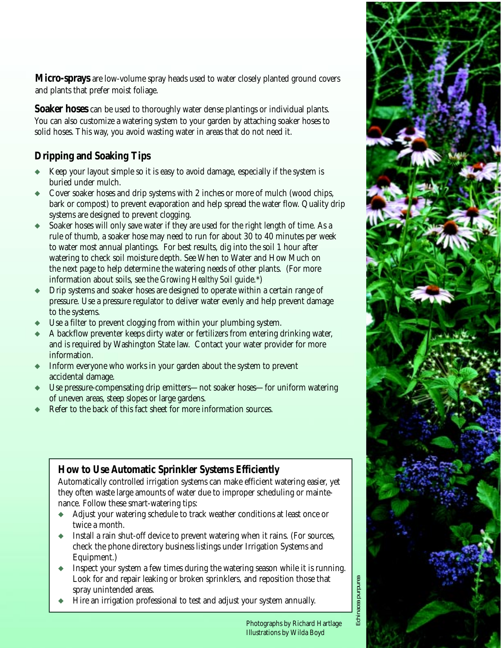**Micro-sprays** are low-volume spray heads used to water closely planted ground covers and plants that prefer moist foliage.

**Soaker hoses** can be used to thoroughly water dense plantings or individual plants. You can also customize a watering system to your garden by attaching soaker hoses to solid hoses. This way, you avoid wasting water in areas that do not need it.

## **Dripping and Soaking Tips**

- Keep your layout simple so it is easy to avoid damage, especially if the system is buried under mulch.
- Cover soaker hoses and drip systems with 2 inches or more of mulch (wood chips, bark or compost) to prevent evaporation and help spread the water flow. Quality drip systems are designed to prevent clogging.
- Soaker hoses will only save water if they are used for the right length of time. As a rule of thumb, a soaker hose may need to run for about 30 to 40 minutes per week to water most annual plantings. For best results, dig into the soil 1 hour after watering to check soil moisture depth. See When to Water and How Much on the next page to help determine the watering needs of other plants. (For more information about soils, see the *Growing Healthy Soil* guide.\*)
- Drip systems and soaker hoses are designed to operate within a certain range of pressure. Use a pressure regulator to deliver water evenly and help prevent damage to the systems.
- Use a filter to prevent clogging from within your plumbing system.
- A backflow preventer keeps dirty water or fertilizers from entering drinking water, and is required by Washington State law. Contact your water provider for more information.
- Inform everyone who works in your garden about the system to prevent accidental damage.
- Use pressure-compensating drip emitters—not soaker hoses—for uniform watering of uneven areas, steep slopes or large gardens.
- Refer to the back of this fact sheet for more information sources.

## **How to Use Automatic Sprinkler Systems Efficiently**

Automatically controlled irrigation systems can make efficient watering easier, yet they often waste large amounts of water due to improper scheduling or maintenance. Follow these smart-watering tips:

- ◆ Adjust your watering schedule to track weather conditions at least once or twice a month.
- Install a rain shut-off device to prevent watering when it rains. (For sources, check the phone directory business listings under Irrigation Systems and Equipment.)
- Inspect your system a few times during the watering season while it is running. Look for and repair leaking or broken sprinklers, and reposition those that spray unintended areas.
- Hire an irrigation professional to test and adjust your system annually.



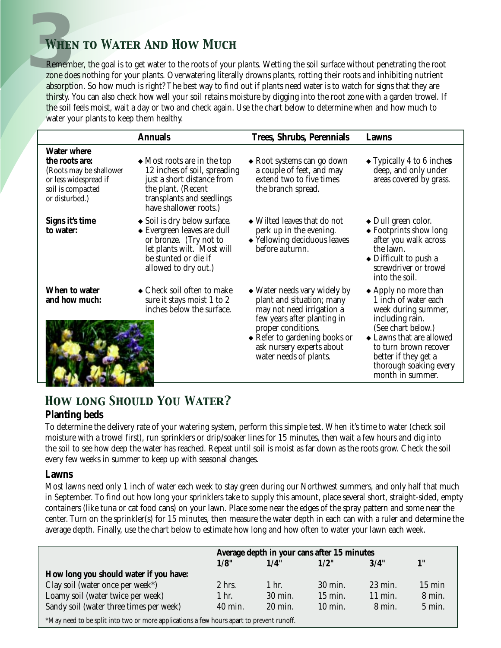# **3***When to Water And How Much*

Remember, the goal is to get water to the roots of your plants. Wetting the soil surface without penetrating the root zone does nothing for your plants. Overwatering literally drowns plants, rotting their roots and inhibiting nutrient absorption. So how much is right? The best way to find out if plants need water is to watch for signs that they are thirsty. You can also check how well your soil retains moisture by digging into the root zone with a garden trowel. If the soil feels moist, wait a day or two and check again. Use the chart below to determine when and how much to water your plants to keep them healthy.

|                                                                                                                                 | <b>Annuals</b>                                                                                                                                                                   | <b>Trees, Shrubs, Perennials</b>                                                                                                                                                                                                            | Lawns                                                                                                                                                                                                                                             |
|---------------------------------------------------------------------------------------------------------------------------------|----------------------------------------------------------------------------------------------------------------------------------------------------------------------------------|---------------------------------------------------------------------------------------------------------------------------------------------------------------------------------------------------------------------------------------------|---------------------------------------------------------------------------------------------------------------------------------------------------------------------------------------------------------------------------------------------------|
| <b>Water where</b><br>the roots are:<br>(Roots may be shallower<br>or less widespread if<br>soil is compacted<br>or disturbed.) | $\triangle$ Most roots are in the top<br>12 inches of soil, spreading<br>just a short distance from<br>the plant. (Recent<br>transplants and seedlings<br>have shallower roots.) | • Root systems can go down<br>a couple of feet, and may<br>extend two to five times<br>the branch spread.                                                                                                                                   | $\blacktriangleright$ Typically 4 to 6 inches<br>deep, and only under<br>areas covered by grass.                                                                                                                                                  |
| Signs it's time<br>to water:                                                                                                    | • Soil is dry below surface.<br>◆ Evergreen leaves are dull<br>or bronze. (Try not to<br>let plants wilt. Most will<br>be stunted or die if<br>allowed to dry out.)              | • Wilted leaves that do not<br>perk up in the evening.<br>◆ Yellowing deciduous leaves<br>before autumn.                                                                                                                                    | $\bullet$ Dull green color.<br>◆ Footprints show long<br>after you walk across<br>the lawn.<br>• Difficult to push a<br>screwdriver or trowel<br>into the soil.                                                                                   |
| When to water<br>and how much:                                                                                                  | $\bullet$ Check soil often to make<br>sure it stays moist 1 to 2<br>inches below the surface.                                                                                    | • Water needs vary widely by<br>plant and situation; many<br>may not need irrigation a<br>few years after planting in<br>proper conditions.<br>$\bullet$ Refer to gardening books or<br>ask nursery experts about<br>water needs of plants. | $\triangle$ Apply no more than<br>1 inch of water each<br>week during summer,<br>including rain.<br>(See chart below.)<br>◆ Lawns that are allowed<br>to turn brown recover<br>better if they get a<br>thorough soaking every<br>month in summer. |

## *How long Should You Water?* **Planting beds**

To determine the delivery rate of your watering system, perform this simple test. When it's time to water (check soil moisture with a trowel first), run sprinklers or drip/soaker lines for 15 minutes, then wait a few hours and dig into the soil to see how deep the water has reached. Repeat until soil is moist as far down as the roots grow. Check the soil every few weeks in summer to keep up with seasonal changes.

### **Lawns**

Most lawns need only 1 inch of water each week to stay green during our Northwest summers, and only half that much in September. To find out how long your sprinklers take to supply this amount, place several short, straight-sided, empty containers (like tuna or cat food cans) on your lawn. Place some near the edges of the spray pattern and some near the center. Turn on the sprinkler(s) for 15 minutes, then measure the water depth in each can with a ruler and determine the average depth. Finally, use the chart below to estimate how long and how often to water your lawn each week.

|                                                                                          | Average depth in your cans after 15 minutes |                   |           |                    |                  |  |  |
|------------------------------------------------------------------------------------------|---------------------------------------------|-------------------|-----------|--------------------|------------------|--|--|
|                                                                                          | 1/8"                                        | 1/4"              | 1/2"      | 3/4"               | 1"               |  |  |
| How long you should water if you have:                                                   |                                             |                   |           |                    |                  |  |  |
| Clay soil (water once per week*)                                                         | $2$ hrs.                                    | 1 hr.             | 30 min.   | $23 \text{ min}$ . | $15 \text{ min}$ |  |  |
| Loamy soil (water twice per week)                                                        | $1$ hr.                                     | 30 min.           | $15$ min. | 11 min.            | 8 min.           |  |  |
| Sandy soil (water three times per week)                                                  | 40 min.                                     | $20 \text{ min.}$ | 10 min.   | 8 min.             | $5 \text{ min.}$ |  |  |
| *May need to be split into two or more applications a few hours apart to prevent runoff. |                                             |                   |           |                    |                  |  |  |